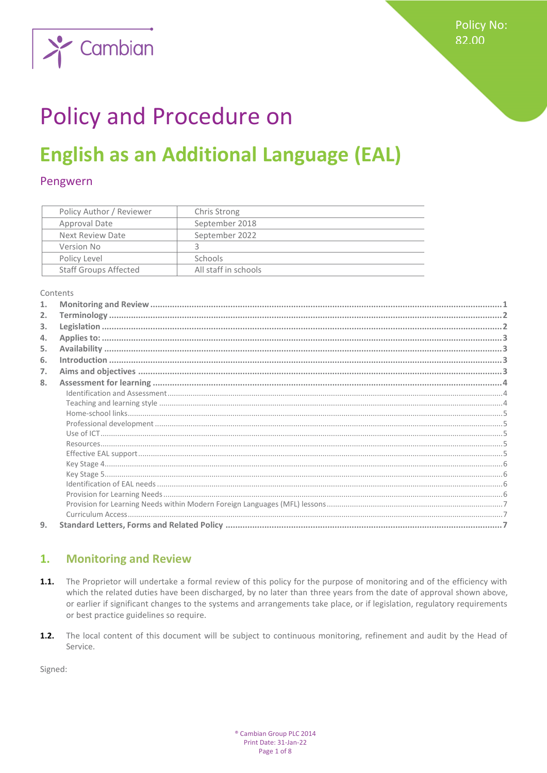

# **Policy and Procedure on**

## **English as an Additional Language (EAL)**

### Pengwern

| Policy Author / Reviewer     | Chris Strong         |
|------------------------------|----------------------|
| Approval Date                | September 2018       |
| Next Review Date             | September 2022       |
| Version No                   |                      |
| Policy Level                 | <b>Schools</b>       |
| <b>Staff Groups Affected</b> | All staff in schools |

Contents

| 1. |  |
|----|--|
| 2. |  |
| 3. |  |
| 4. |  |
| 5. |  |
| 6. |  |
| 7. |  |
| 8. |  |
|    |  |
|    |  |
|    |  |
|    |  |
|    |  |
|    |  |
|    |  |
|    |  |
|    |  |
|    |  |
|    |  |
|    |  |
| 9. |  |
|    |  |

#### <span id="page-0-0"></span>**Monitoring and Review** 1.

- $1.1.$ The Proprietor will undertake a formal review of this policy for the purpose of monitoring and of the efficiency with which the related duties have been discharged, by no later than three years from the date of approval shown above, or earlier if significant changes to the systems and arrangements take place, or if legislation, regulatory requirements or best practice guidelines so require.
- $1.2.$ The local content of this document will be subject to continuous monitoring, refinement and audit by the Head of Service.

Signed: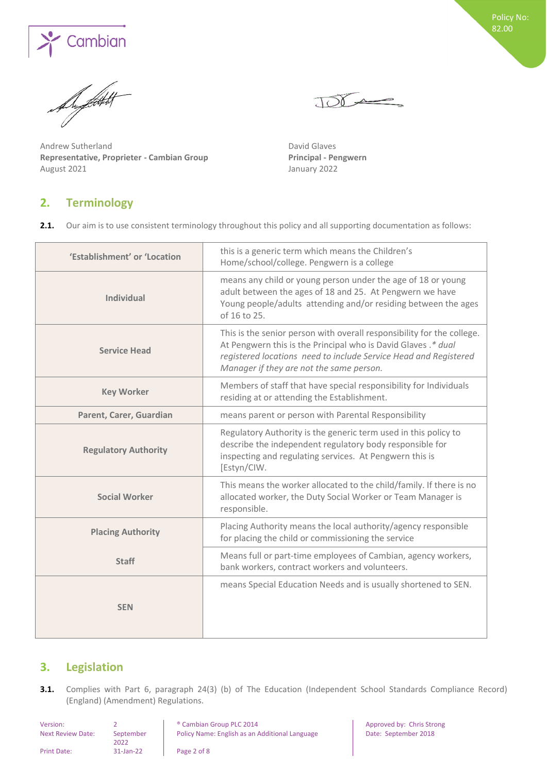

**S' Cambian** 

Andrew Sutherland **David Glaves Representative, Proprieter - Cambian Group Principal - Pengwern** August 2021 January 2022

## <span id="page-1-0"></span>**2. Terminology**

2.1. Our aim is to use consistent terminology throughout this policy and all supporting documentation as follows:

JODA

| 'Establishment' or 'Location | this is a generic term which means the Children's<br>Home/school/college. Pengwern is a college                                                                                                                                                         |
|------------------------------|---------------------------------------------------------------------------------------------------------------------------------------------------------------------------------------------------------------------------------------------------------|
| <b>Individual</b>            | means any child or young person under the age of 18 or young<br>adult between the ages of 18 and 25. At Pengwern we have<br>Young people/adults attending and/or residing between the ages<br>of 16 to 25.                                              |
| <b>Service Head</b>          | This is the senior person with overall responsibility for the college.<br>At Pengwern this is the Principal who is David Glaves .* dual<br>registered locations need to include Service Head and Registered<br>Manager if they are not the same person. |
| <b>Key Worker</b>            | Members of staff that have special responsibility for Individuals<br>residing at or attending the Establishment.                                                                                                                                        |
| Parent, Carer, Guardian      | means parent or person with Parental Responsibility                                                                                                                                                                                                     |
| <b>Regulatory Authority</b>  | Regulatory Authority is the generic term used in this policy to<br>describe the independent regulatory body responsible for<br>inspecting and regulating services. At Pengwern this is<br>[Estyn/CIW.                                                   |
| <b>Social Worker</b>         | This means the worker allocated to the child/family. If there is no<br>allocated worker, the Duty Social Worker or Team Manager is<br>responsible.                                                                                                      |
| <b>Placing Authority</b>     | Placing Authority means the local authority/agency responsible<br>for placing the child or commissioning the service                                                                                                                                    |
| <b>Staff</b>                 | Means full or part-time employees of Cambian, agency workers,<br>bank workers, contract workers and volunteers.                                                                                                                                         |
| <b>SEN</b>                   | means Special Education Needs and is usually shortened to SEN.                                                                                                                                                                                          |

## <span id="page-1-1"></span>**3. Legislation**

**3.1.** Complies with Part 6, paragraph 24(3) (b) of The Education (Independent School Standards Compliance Record) (England) (Amendment) Regulations.

| Version:                 |                   | <sup>®</sup> Cambian Group PLC 2014            | Approved   |
|--------------------------|-------------------|------------------------------------------------|------------|
| <b>Next Review Date:</b> | September<br>2022 | Policy Name: English as an Additional Language | Date: Sept |
| <b>Print Date:</b>       | 31-Jan-22         | Page 2 of 8                                    |            |

by: Chris Strong tember 2018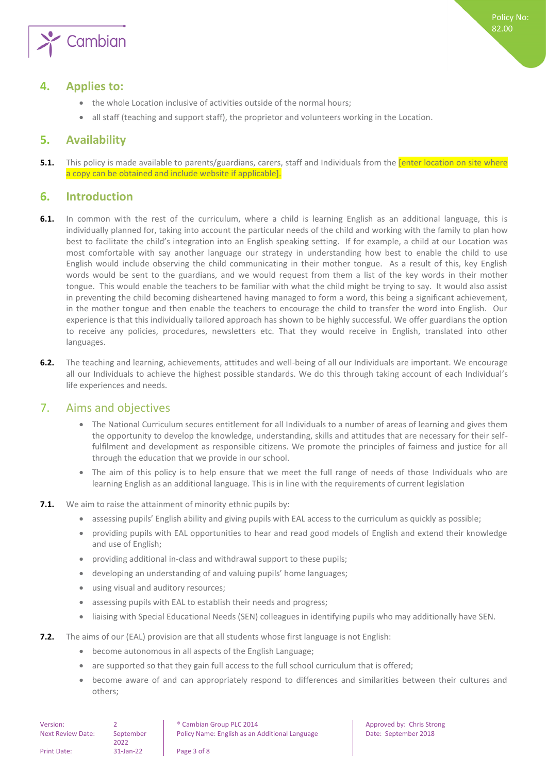

## <span id="page-2-0"></span>**4. Applies to:**

- the whole Location inclusive of activities outside of the normal hours;
- <span id="page-2-1"></span>• all staff (teaching and support staff), the proprietor and volunteers working in the Location.

## **5. Availability**

**5.1.** This policy is made available to parents/guardians, carers, staff and Individuals from the **[enter location on site where** a copy can be obtained and include website if applicable].

## <span id="page-2-2"></span>**6. Introduction**

- **6.1.** In common with the rest of the curriculum, where a child is learning English as an additional language, this is individually planned for, taking into account the particular needs of the child and working with the family to plan how best to facilitate the child's integration into an English speaking setting. If for example, a child at our Location was most comfortable with say another language our strategy in understanding how best to enable the child to use English would include observing the child communicating in their mother tongue. As a result of this, key English words would be sent to the guardians, and we would request from them a list of the key words in their mother tongue. This would enable the teachers to be familiar with what the child might be trying to say. It would also assist in preventing the child becoming disheartened having managed to form a word, this being a significant achievement, in the mother tongue and then enable the teachers to encourage the child to transfer the word into English. Our experience is that this individually tailored approach has shown to be highly successful. We offer guardians the option to receive any policies, procedures, newsletters etc. That they would receive in English, translated into other languages.
- **6.2.** The teaching and learning, achievements, attitudes and well-being of all our Individuals are important. We encourage all our Individuals to achieve the highest possible standards. We do this through taking account of each Individual's life experiences and needs.

## <span id="page-2-3"></span>7. Aims and objectives

- The National Curriculum secures entitlement for all Individuals to a number of areas of learning and gives them the opportunity to develop the knowledge, understanding, skills and attitudes that are necessary for their selffulfilment and development as responsible citizens. We promote the principles of fairness and justice for all through the education that we provide in our school.
- The aim of this policy is to help ensure that we meet the full range of needs of those Individuals who are learning English as an additional language. This is in line with the requirements of current legislation
- **7.1.** We aim to raise the attainment of minority ethnic pupils by:
	- assessing pupils' English ability and giving pupils with EAL access to the curriculum as quickly as possible;
	- providing pupils with EAL opportunities to hear and read good models of English and extend their knowledge and use of English;
	- providing additional in-class and withdrawal support to these pupils;
	- developing an understanding of and valuing pupils' home languages;
	- using visual and auditory resources;
	- assessing pupils with EAL to establish their needs and progress;
	- liaising with Special Educational Needs (SEN) colleagues in identifying pupils who may additionally have SEN.
- **7.2.** The aims of our (EAL) provision are that all students whose first language is not English:
	- become autonomous in all aspects of the English Language;
	- are supported so that they gain full access to the full school curriculum that is offered;
	- become aware of and can appropriately respond to differences and similarities between their cultures and others;

| Version:                 |                   | <sup>®</sup> Cambian Group PLC 2014          |
|--------------------------|-------------------|----------------------------------------------|
| <b>Next Review Date:</b> | September<br>2022 | Policy Name: English as an Additional Langua |
| Print Date:              | 31-Jan-22         | Page 3 of 8                                  |

Approved by: Chris Strong Policy Name: September 2018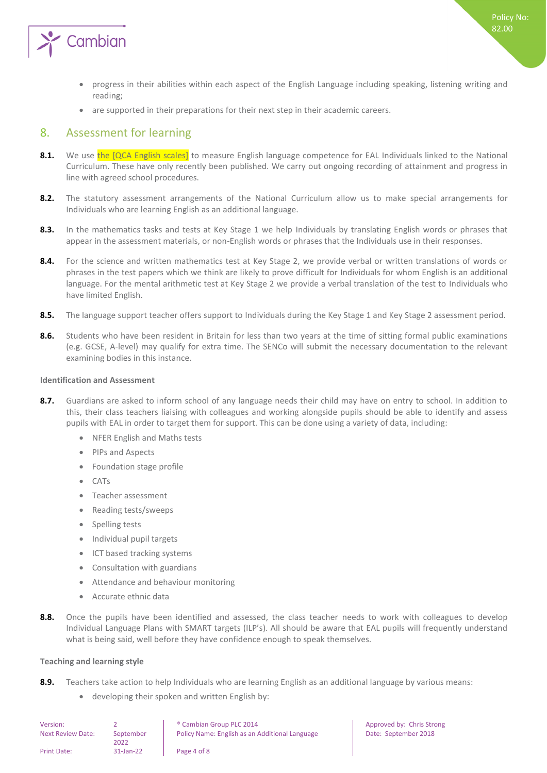

- progress in their abilities within each aspect of the English Language including speaking, listening writing and reading;
- <span id="page-3-0"></span>are supported in their preparations for their next step in their academic careers.

## 8. Assessment for learning

- 8.1. We use the [QCA English scales] to measure English language competence for EAL Individuals linked to the National Curriculum. These have only recently been published. We carry out ongoing recording of attainment and progress in line with agreed school procedures.
- **8.2.** The statutory assessment arrangements of the National Curriculum allow us to make special arrangements for Individuals who are learning English as an additional language.
- **8.3.** In the mathematics tasks and tests at Key Stage 1 we help Individuals by translating English words or phrases that appear in the assessment materials, or non-English words or phrases that the Individuals use in their responses.
- 8.4. For the science and written mathematics test at Key Stage 2, we provide verbal or written translations of words or phrases in the test papers which we think are likely to prove difficult for Individuals for whom English is an additional language. For the mental arithmetic test at Key Stage 2 we provide a verbal translation of the test to Individuals who have limited English.
- **8.5.** The language support teacher offers support to Individuals during the Key Stage 1 and Key Stage 2 assessment period.
- 8.6. Students who have been resident in Britain for less than two years at the time of sitting formal public examinations (e.g. GCSE, A-level) may qualify for extra time. The SENCo will submit the necessary documentation to the relevant examining bodies in this instance.

#### <span id="page-3-1"></span>**Identification and Assessment**

- **8.7.** Guardians are asked to inform school of any language needs their child may have on entry to school. In addition to this, their class teachers liaising with colleagues and working alongside pupils should be able to identify and assess pupils with EAL in order to target them for support. This can be done using a variety of data, including:
	- NFER English and Maths tests
	- PIPs and Aspects
	- Foundation stage profile
	- CATs
	- Teacher assessment
	- Reading tests/sweeps
	- Spelling tests
	- Individual pupil targets
	- ICT based tracking systems
	- Consultation with guardians
	- Attendance and behaviour monitoring
	- Accurate ethnic data
- 8.8. Once the pupils have been identified and assessed, the class teacher needs to work with colleagues to develop Individual Language Plans with SMART targets (ILP's). All should be aware that EAL pupils will frequently understand what is being said, well before they have confidence enough to speak themselves.

Approved by: Chris Strong

Date: September 2018

#### <span id="page-3-2"></span>**Teaching and learning style**

- **8.9.** Teachers take action to help Individuals who are learning English as an additional language by various means:
	- developing their spoken and written English by:

| Version:                 |                   | <sup>®</sup> Cambian Group PLC 2014            |
|--------------------------|-------------------|------------------------------------------------|
| <b>Next Review Date:</b> | September<br>2022 | Policy Name: English as an Additional Language |
| Print Date:              | $31$ -Jan-22      | Page 4 of 8                                    |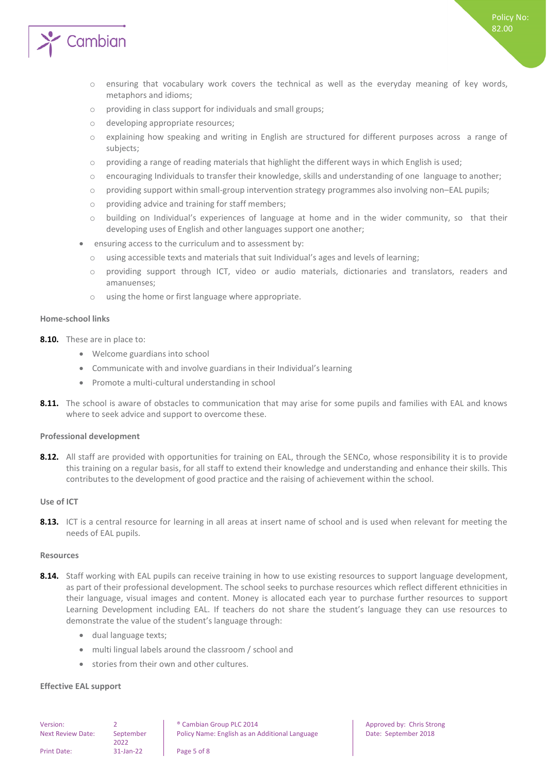

Policy No: 82.00

- o providing in class support for individuals and small groups;
- o developing appropriate resources;
- o explaining how speaking and writing in English are structured for different purposes across a range of subjects;
- $\circ$  providing a range of reading materials that highlight the different ways in which English is used;
- o encouraging Individuals to transfer their knowledge, skills and understanding of one language to another;
- o providing support within small-group intervention strategy programmes also involving non–EAL pupils;
- o providing advice and training for staff members;
- o building on Individual's experiences of language at home and in the wider community, so that their developing uses of English and other languages support one another;
- ensuring access to the curriculum and to assessment by:
	- o using accessible texts and materials that suit Individual's ages and levels of learning;
	- o providing support through ICT, video or audio materials, dictionaries and translators, readers and amanuenses;
	- o using the home or first language where appropriate.

#### <span id="page-4-0"></span>**Home-school links**

- **8.10.** These are in place to:
	- Welcome guardians into school
	- Communicate with and involve guardians in their Individual's learning
	- Promote a multi-cultural understanding in school
- **8.11.** The school is aware of obstacles to communication that may arise for some pupils and families with EAL and knows where to seek advice and support to overcome these.

#### <span id="page-4-1"></span>**Professional development**

8.12. All staff are provided with opportunities for training on EAL, through the SENCo, whose responsibility it is to provide this training on a regular basis, for all staff to extend their knowledge and understanding and enhance their skills. This contributes to the development of good practice and the raising of achievement within the school.

#### <span id="page-4-2"></span>**Use of ICT**

**8.13.** ICT is a central resource for learning in all areas at insert name of school and is used when relevant for meeting the needs of EAL pupils.

#### <span id="page-4-3"></span>**Resources**

- 8.14. Staff working with EAL pupils can receive training in how to use existing resources to support language development, as part of their professional development. The school seeks to purchase resources which reflect different ethnicities in their language, visual images and content. Money is allocated each year to purchase further resources to support Learning Development including EAL. If teachers do not share the student's language they can use resources to demonstrate the value of the student's language through:
	- dual language texts;
	- multi lingual labels around the classroom / school and
	- stories from their own and other cultures.

#### <span id="page-4-4"></span>**Effective EAL support**

Next Review Date: September

2022

Version: 2 ® Cambian Group PLC 2014 Approved by: Chris Strong Policy Name: English as an Additional Language Date: September 2018

Print Date: 31-Jan-22 Page 5 of 8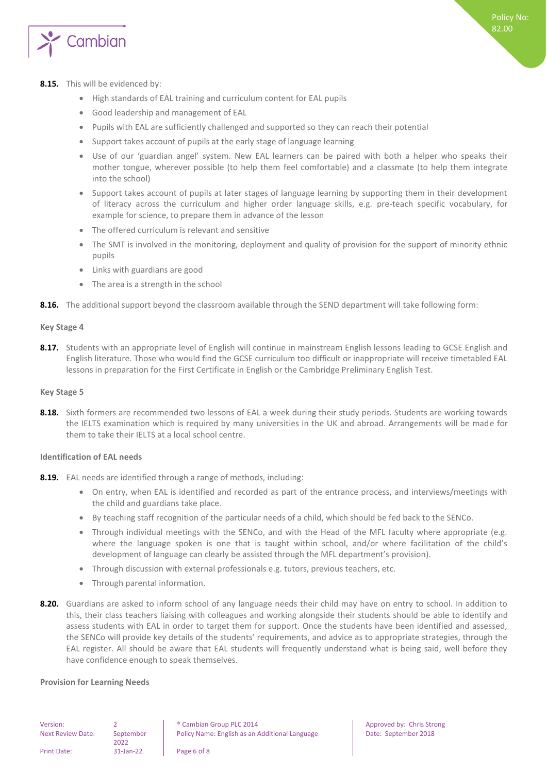

### **8.15.** This will be evidenced by:

- High standards of EAL training and curriculum content for EAL pupils
- Good leadership and management of EAL
- Pupils with EAL are sufficiently challenged and supported so they can reach their potential
- Support takes account of pupils at the early stage of language learning
- Use of our 'guardian angel' system. New EAL learners can be paired with both a helper who speaks their mother tongue, wherever possible (to help them feel comfortable) and a classmate (to help them integrate into the school)
- Support takes account of pupils at later stages of language learning by supporting them in their development of literacy across the curriculum and higher order language skills, e.g. pre-teach specific vocabulary, for example for science, to prepare them in advance of the lesson
- The offered curriculum is relevant and sensitive
- The SMT is involved in the monitoring, deployment and quality of provision for the support of minority ethnic pupils
- Links with guardians are good
- The area is a strength in the school
- <span id="page-5-0"></span>**8.16.** The additional support beyond the classroom available through the SEND department will take following form:

#### **Key Stage 4**

**8.17.** Students with an appropriate level of English will continue in mainstream English lessons leading to GCSE English and English literature. Those who would find the GCSE curriculum too difficult or inappropriate will receive timetabled EAL lessons in preparation for the First Certificate in English or the Cambridge Preliminary English Test.

#### <span id="page-5-1"></span>**Key Stage 5**

**8.18.** Sixth formers are recommended two lessons of EAL a week during their study periods. Students are working towards the IELTS examination which is required by many universities in the UK and abroad. Arrangements will be made for them to take their IELTS at a local school centre.

### <span id="page-5-2"></span>**Identification of EAL needs**

- **8.19.** EAL needs are identified through a range of methods, including:
	- On entry, when EAL is identified and recorded as part of the entrance process, and interviews/meetings with the child and guardians take place.
	- By teaching staff recognition of the particular needs of a child, which should be fed back to the SENCo.
	- Through individual meetings with the SENCo, and with the Head of the MFL faculty where appropriate (e.g. where the language spoken is one that is taught within school, and/or where facilitation of the child's development of language can clearly be assisted through the MFL department's provision).
	- Through discussion with external professionals e.g. tutors, previous teachers, etc.
	- Through parental information.
- **8.20.** Guardians are asked to inform school of any language needs their child may have on entry to school. In addition to this, their class teachers liaising with colleagues and working alongside their students should be able to identify and assess students with EAL in order to target them for support. Once the students have been identified and assessed, the SENCo will provide key details of the students' requirements, and advice as to appropriate strategies, through the EAL register. All should be aware that EAL students will frequently understand what is being said, well before they have confidence enough to speak themselves.

#### <span id="page-5-3"></span>**Provision for Learning Needs**

| Version:         |  |
|------------------|--|
| Next Review Date |  |

e: September 2022

Print Date: 31-Jan-22 Page 6 of 8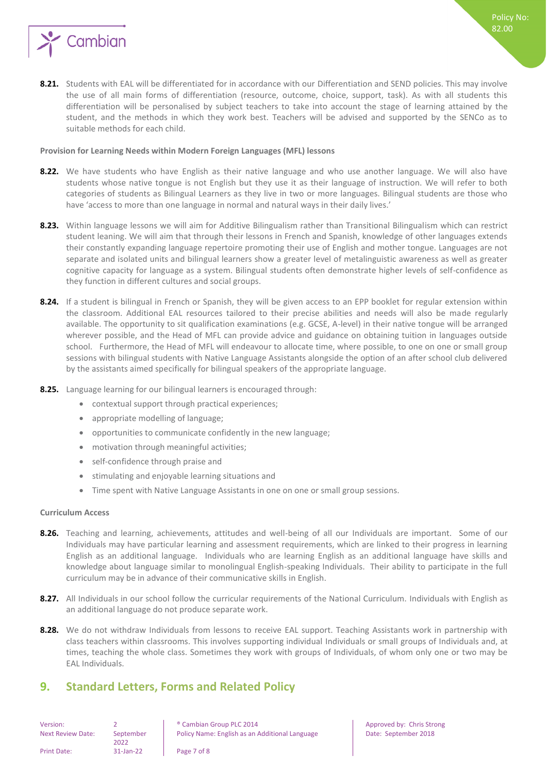

**8.21.** Students with EAL will be differentiated for in accordance with our Differentiation and SEND policies. This may involve the use of all main forms of differentiation (resource, outcome, choice, support, task). As with all students this differentiation will be personalised by subject teachers to take into account the stage of learning attained by the student, and the methods in which they work best. Teachers will be advised and supported by the SENCo as to suitable methods for each child.

#### <span id="page-6-0"></span>**Provision for Learning Needs within Modern Foreign Languages (MFL) lessons**

- **8.22.** We have students who have English as their native language and who use another language. We will also have students whose native tongue is not English but they use it as their language of instruction. We will refer to both categories of students as Bilingual Learners as they live in two or more languages. Bilingual students are those who have 'access to more than one language in normal and natural ways in their daily lives.'
- **8.23.** Within language lessons we will aim for Additive Bilingualism rather than Transitional Bilingualism which can restrict student leaning. We will aim that through their lessons in French and Spanish, knowledge of other languages extends their constantly expanding language repertoire promoting their use of English and mother tongue. Languages are not separate and isolated units and bilingual learners show a greater level of metalinguistic awareness as well as greater cognitive capacity for language as a system. Bilingual students often demonstrate higher levels of self-confidence as they function in different cultures and social groups.
- **8.24.** If a student is bilingual in French or Spanish, they will be given access to an EPP booklet for regular extension within the classroom. Additional EAL resources tailored to their precise abilities and needs will also be made regularly available. The opportunity to sit qualification examinations (e.g. GCSE, A-level) in their native tongue will be arranged wherever possible, and the Head of MFL can provide advice and guidance on obtaining tuition in languages outside school. Furthermore, the Head of MFL will endeavour to allocate time, where possible, to one on one or small group sessions with bilingual students with Native Language Assistants alongside the option of an after school club delivered by the assistants aimed specifically for bilingual speakers of the appropriate language.
- **8.25.** Language learning for our bilingual learners is encouraged through:
	- contextual support through practical experiences;
	- appropriate modelling of language;
	- opportunities to communicate confidently in the new language;
	- motivation through meaningful activities;
	- self-confidence through praise and
	- stimulating and enjoyable learning situations and
	- Time spent with Native Language Assistants in one on one or small group sessions.

#### <span id="page-6-1"></span>**Curriculum Access**

- **8.26.** Teaching and learning, achievements, attitudes and well-being of all our Individuals are important. Some of our Individuals may have particular learning and assessment requirements, which are linked to their progress in learning English as an additional language. Individuals who are learning English as an additional language have skills and knowledge about language similar to monolingual English-speaking Individuals. Their ability to participate in the full curriculum may be in advance of their communicative skills in English.
- **8.27.** All Individuals in our school follow the curricular requirements of the National Curriculum. Individuals with English as an additional language do not produce separate work.
- **8.28.** We do not withdraw Individuals from lessons to receive EAL support. Teaching Assistants work in partnership with class teachers within classrooms. This involves supporting individual Individuals or small groups of Individuals and, at times, teaching the whole class. Sometimes they work with groups of Individuals, of whom only one or two may be EAL Individuals.

## <span id="page-6-2"></span>**9. Standard Letters, Forms and Related Policy**

| Version:                |  |
|-------------------------|--|
| <b>Next Review Date</b> |  |

Print Date: 31-Jan-22 Page 7 of 8

September 2022